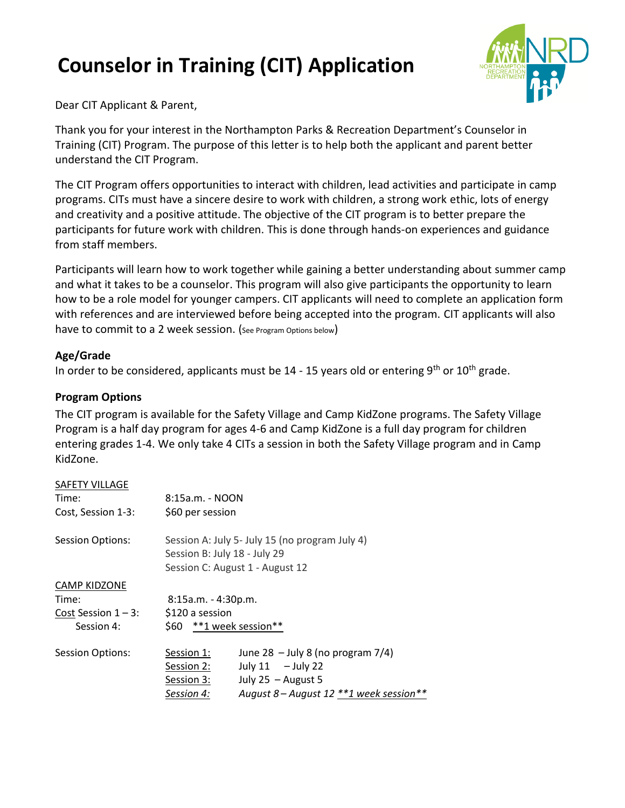# **Counselor in Training (CIT) Application**



Dear CIT Applicant & Parent,

Thank you for your interest in the Northampton Parks & Recreation Department's Counselor in Training (CIT) Program. The purpose of this letter is to help both the applicant and parent better understand the CIT Program.

The CIT Program offers opportunities to interact with children, lead activities and participate in camp programs. CITs must have a sincere desire to work with children, a strong work ethic, lots of energy and creativity and a positive attitude. The objective of the CIT program is to better prepare the participants for future work with children. This is done through hands-on experiences and guidance from staff members.

Participants will learn how to work together while gaining a better understanding about summer camp and what it takes to be a counselor. This program will also give participants the opportunity to learn how to be a role model for younger campers. CIT applicants will need to complete an application form with references and are interviewed before being accepted into the program. CIT applicants will also have to commit to a 2 week session. (See Program Options below)

## **Age/Grade**

In order to be considered, applicants must be  $14 - 15$  years old or entering 9<sup>th</sup> or  $10<sup>th</sup>$  grade.

## **Program Options**

The CIT program is available for the Safety Village and Camp KidZone programs. The Safety Village Program is a half day program for ages 4-6 and Camp KidZone is a full day program for children entering grades 1-4. We only take 4 CITs a session in both the Safety Village program and in Camp KidZone.

#### SAFETY VILLAGE

| Time:<br>Cost, Session 1-3:                                          | 8:15a.m. - NOON<br>\$60 per session                                 |                                                                                                                                 |
|----------------------------------------------------------------------|---------------------------------------------------------------------|---------------------------------------------------------------------------------------------------------------------------------|
| <b>Session Options:</b>                                              |                                                                     | Session A: July 5- July 15 (no program July 4)<br>Session B: July 18 - July 29<br>Session C: August 1 - August 12               |
| <b>CAMP KIDZONE</b><br>Time:<br>Cost Session $1 - 3$ :<br>Session 4: | $8:15a.m. - 4:30p.m.$<br>\$120 a session<br>\$60 **1 week session** |                                                                                                                                 |
| <b>Session Options:</b>                                              | Session 1:<br>Session 2:<br>Session 3:<br>Session 4:                | June 28 - July 8 (no program $7/4$ )<br>July $11 -$ July 22<br>July 25 $-$ August 5<br>August 8 – August 12 ** 1 week session** |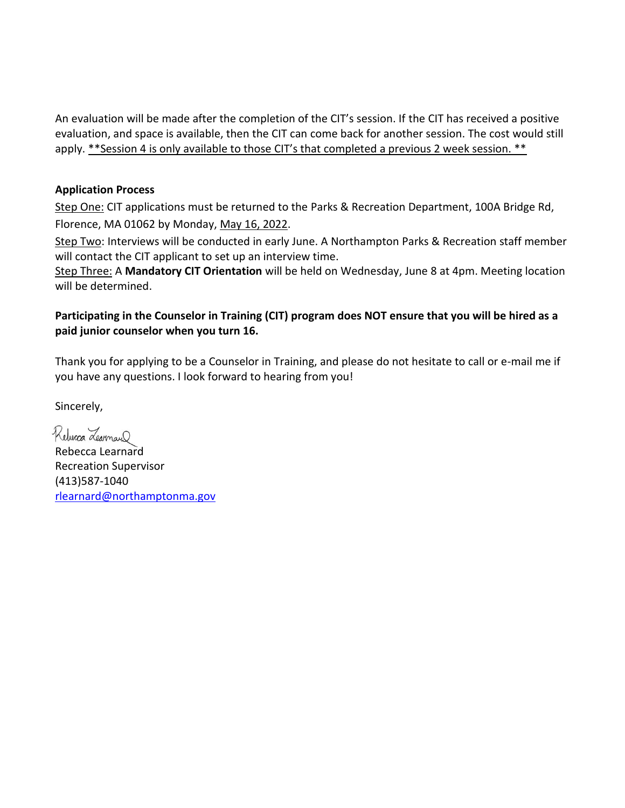An evaluation will be made after the completion of the CIT's session. If the CIT has received a positive evaluation, and space is available, then the CIT can come back for another session. The cost would still apply. \*\*Session 4 is only available to those CIT's that completed a previous 2 week session. \*\*

## **Application Process**

Step One: CIT applications must be returned to the Parks & Recreation Department, 100A Bridge Rd, Florence, MA 01062 by Monday, May 16, 2022.

Step Two: Interviews will be conducted in early June. A Northampton Parks & Recreation staff member will contact the CIT applicant to set up an interview time.

Step Three: A **Mandatory CIT Orientation** will be held on Wednesday, June 8 at 4pm. Meeting location will be determined.

## **Participating in the Counselor in Training (CIT) program does NOT ensure that you will be hired as a paid junior counselor when you turn 16.**

Thank you for applying to be a Counselor in Training, and please do not hesitate to call or e-mail me if you have any questions. I look forward to hearing from you!

Sincerely,

Reberca Learnard

Rebecca Learnard Recreation Supervisor (413)587-1040 [rlearnard@northamptonma.gov](mailto:rlearnard@northamptonma.gov)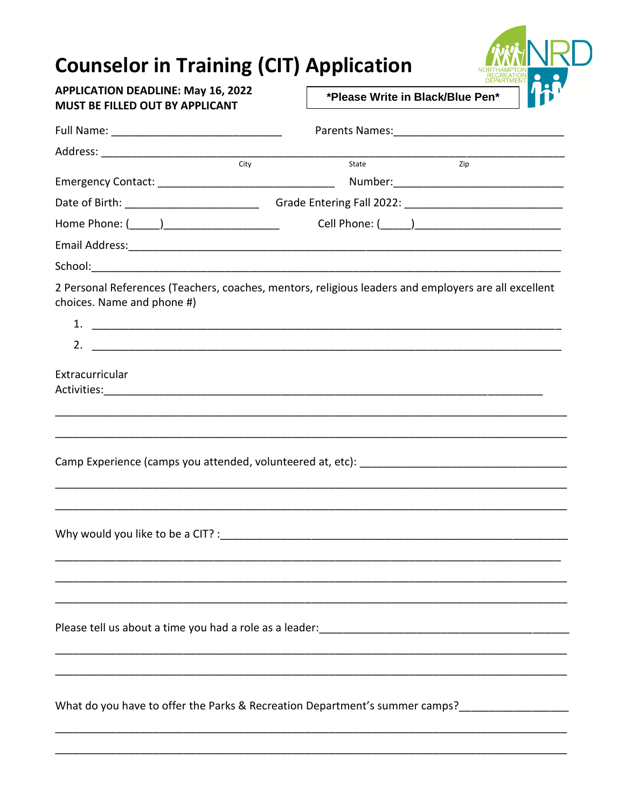## **Counselor in Training (CIT) Application**



## **APPLICATION DEADLINE: May 16, 2022** MUST BE FILLED OUT BY APPLICANT

\*Please Write in Black/Blue Pen\*

| City                                          | State<br>Zip                                                                                         |
|-----------------------------------------------|------------------------------------------------------------------------------------------------------|
|                                               |                                                                                                      |
|                                               |                                                                                                      |
| Home Phone: (______)_________________________ |                                                                                                      |
|                                               |                                                                                                      |
|                                               |                                                                                                      |
| choices. Name and phone #)                    | 2 Personal References (Teachers, coaches, mentors, religious leaders and employers are all excellent |
|                                               |                                                                                                      |
|                                               |                                                                                                      |
| Extracurricular                               |                                                                                                      |
|                                               |                                                                                                      |
|                                               |                                                                                                      |
|                                               |                                                                                                      |
|                                               |                                                                                                      |
|                                               |                                                                                                      |
|                                               |                                                                                                      |
|                                               | What do you have to offer the Parks & Recreation Department's summer camps?                          |
|                                               |                                                                                                      |